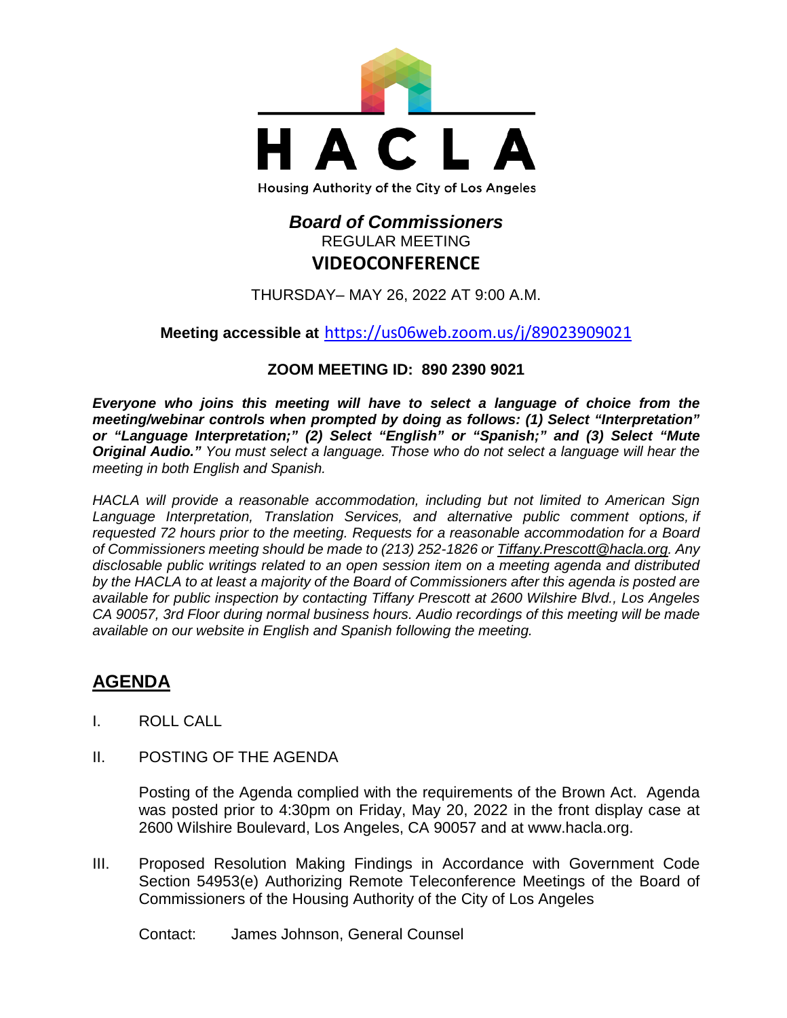

# *Board of Commissioners* REGULAR MEETING **VIDEOCONFERENCE**

THURSDAY– MAY 26, 2022 AT 9:00 A.M.

**Meeting accessible at** <https://us06web.zoom.us/j/89023909021>

## **ZOOM MEETING ID: 890 2390 9021**

*Everyone who joins this meeting will have to select a language of choice from the meeting/webinar controls when prompted by doing as follows: (1) Select "Interpretation" or "Language Interpretation;" (2) Select "English" or "Spanish;" and (3) Select "Mute Original Audio." You must select a language. Those who do not select a language will hear the meeting in both English and Spanish.*

*HACLA will provide a reasonable accommodation, including but not limited to American Sign Language Interpretation, Translation Services, and alternative public comment options, if requested 72 hours prior to the meeting. Requests for a reasonable accommodation for a Board of Commissioners meeting should be made to (213) 252-1826 or Tiffany.Prescott@hacla.org. Any disclosable public writings related to an open session item on a meeting agenda and distributed by the HACLA to at least a majority of the Board of Commissioners after this agenda is posted are available for public inspection by contacting Tiffany Prescott at 2600 Wilshire Blvd., Los Angeles CA 90057, 3rd Floor during normal business hours. Audio recordings of this meeting will be made available on our website in English and Spanish following the meeting.*

# **AGENDA**

- I. ROLL CALL
- II. POSTING OF THE AGENDA

Posting of the Agenda complied with the requirements of the Brown Act. Agenda was posted prior to 4:30pm on Friday, May 20, 2022 in the front display case at 2600 Wilshire Boulevard, Los Angeles, CA 90057 and at [www.hacla.org.](http://www.hacla.org/)

III. Proposed Resolution Making Findings in Accordance with Government Code Section 54953(e) Authorizing Remote Teleconference Meetings of the Board of Commissioners of the Housing Authority of the City of Los Angeles

Contact: James Johnson, General Counsel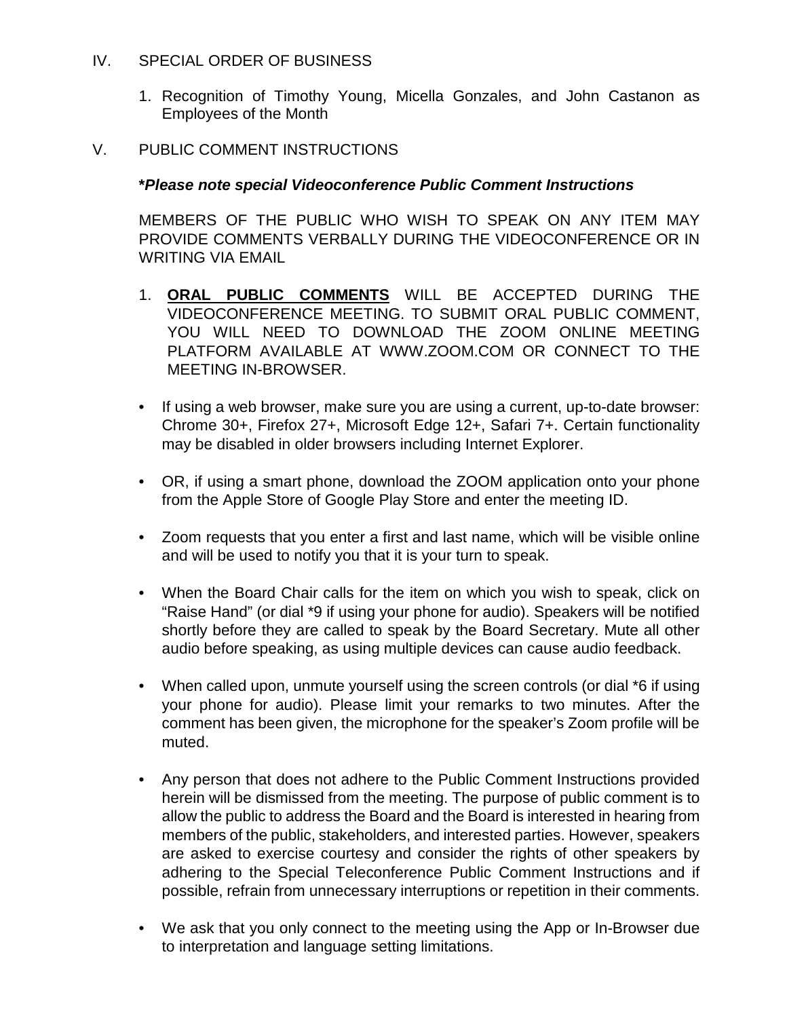- IV. SPECIAL ORDER OF BUSINESS
	- 1. Recognition of Timothy Young, Micella Gonzales, and John Castanon as Employees of the Month

#### V. PUBLIC COMMENT INSTRUCTIONS

#### **\****Please note special Videoconference Public Comment Instructions*

MEMBERS OF THE PUBLIC WHO WISH TO SPEAK ON ANY ITEM MAY PROVIDE COMMENTS VERBALLY DURING THE VIDEOCONFERENCE OR IN WRITING VIA EMAIL

- 1. **ORAL PUBLIC COMMENTS** WILL BE ACCEPTED DURING THE VIDEOCONFERENCE MEETING. TO SUBMIT ORAL PUBLIC COMMENT, YOU WILL NEED TO DOWNLOAD THE ZOOM ONLINE MEETING PLATFORM AVAILABLE AT WWW.ZOOM.COM OR CONNECT TO THE MEETING IN-BROWSER.
- If using a web browser, make sure you are using a current, up-to-date browser: Chrome 30+, Firefox 27+, Microsoft Edge 12+, Safari 7+. Certain functionality may be disabled in older browsers including Internet Explorer.
- OR, if using a smart phone, download the ZOOM application onto your phone from the Apple Store of Google Play Store and enter the meeting ID.
- Zoom requests that you enter a first and last name, which will be visible online and will be used to notify you that it is your turn to speak.
- When the Board Chair calls for the item on which you wish to speak, click on "Raise Hand" (or dial \*9 if using your phone for audio). Speakers will be notified shortly before they are called to speak by the Board Secretary. Mute all other audio before speaking, as using multiple devices can cause audio feedback.
- When called upon, unmute yourself using the screen controls (or dial \*6 if using your phone for audio). Please limit your remarks to two minutes. After the comment has been given, the microphone for the speaker's Zoom profile will be muted.
- Any person that does not adhere to the Public Comment Instructions provided herein will be dismissed from the meeting. The purpose of public comment is to allow the public to address the Board and the Board is interested in hearing from members of the public, stakeholders, and interested parties. However, speakers are asked to exercise courtesy and consider the rights of other speakers by adhering to the Special Teleconference Public Comment Instructions and if possible, refrain from unnecessary interruptions or repetition in their comments.
- We ask that you only connect to the meeting using the App or In-Browser due to interpretation and language setting limitations.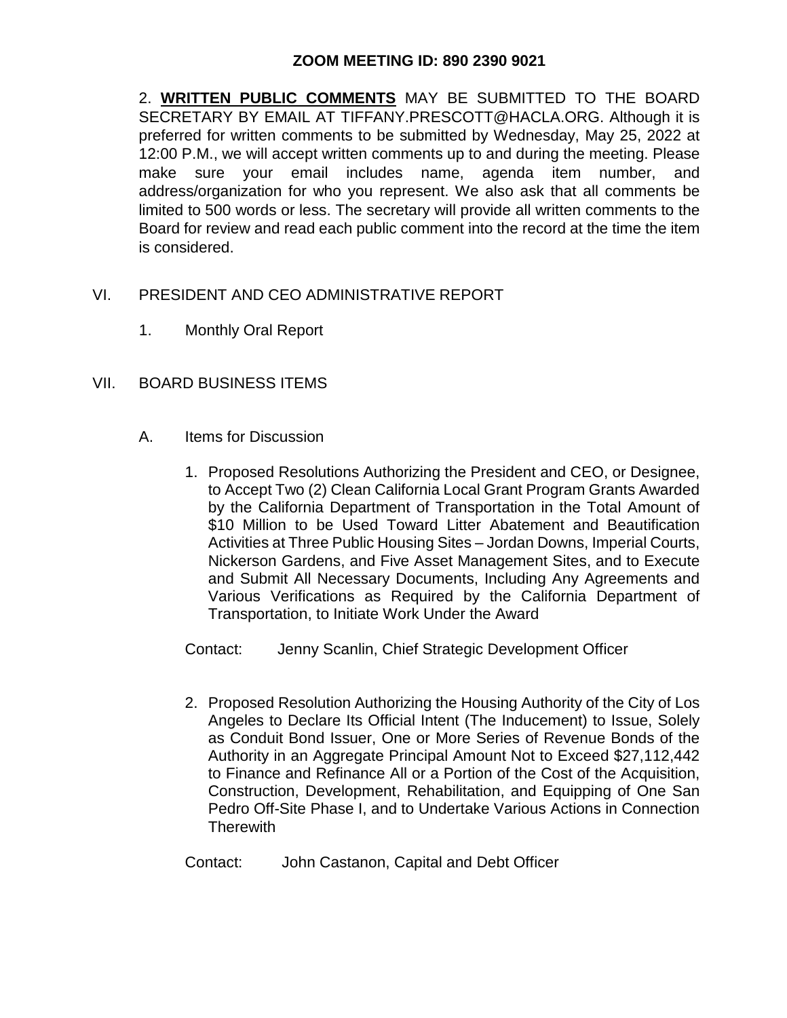### **ZOOM MEETING ID: 890 2390 9021**

2. **WRITTEN PUBLIC COMMENTS** MAY BE SUBMITTED TO THE BOARD SECRETARY BY EMAIL AT TIFFANY.PRESCOTT@HACLA.ORG. Although it is preferred for written comments to be submitted by Wednesday, May 25, 2022 at 12:00 P.M., we will accept written comments up to and during the meeting. Please make sure your email includes name, agenda item number, and address/organization for who you represent. We also ask that all comments be limited to 500 words or less. The secretary will provide all written comments to the Board for review and read each public comment into the record at the time the item is considered.

#### VI. PRESIDENT AND CEO ADMINISTRATIVE REPORT

1. Monthly Oral Report

#### VII. BOARD BUSINESS ITEMS

- A. Items for Discussion
	- 1. Proposed Resolutions Authorizing the President and CEO, or Designee, to Accept Two (2) Clean California Local Grant Program Grants Awarded by the California Department of Transportation in the Total Amount of \$10 Million to be Used Toward Litter Abatement and Beautification Activities at Three Public Housing Sites – Jordan Downs, Imperial Courts, Nickerson Gardens, and Five Asset Management Sites, and to Execute and Submit All Necessary Documents, Including Any Agreements and Various Verifications as Required by the California Department of Transportation, to Initiate Work Under the Award

Contact: Jenny Scanlin, Chief Strategic Development Officer

2. Proposed Resolution Authorizing the Housing Authority of the City of Los Angeles to Declare Its Official Intent (The Inducement) to Issue, Solely as Conduit Bond Issuer, One or More Series of Revenue Bonds of the Authority in an Aggregate Principal Amount Not to Exceed \$27,112,442 to Finance and Refinance All or a Portion of the Cost of the Acquisition, Construction, Development, Rehabilitation, and Equipping of One San Pedro Off-Site Phase I, and to Undertake Various Actions in Connection **Therewith** 

Contact: John Castanon, Capital and Debt Officer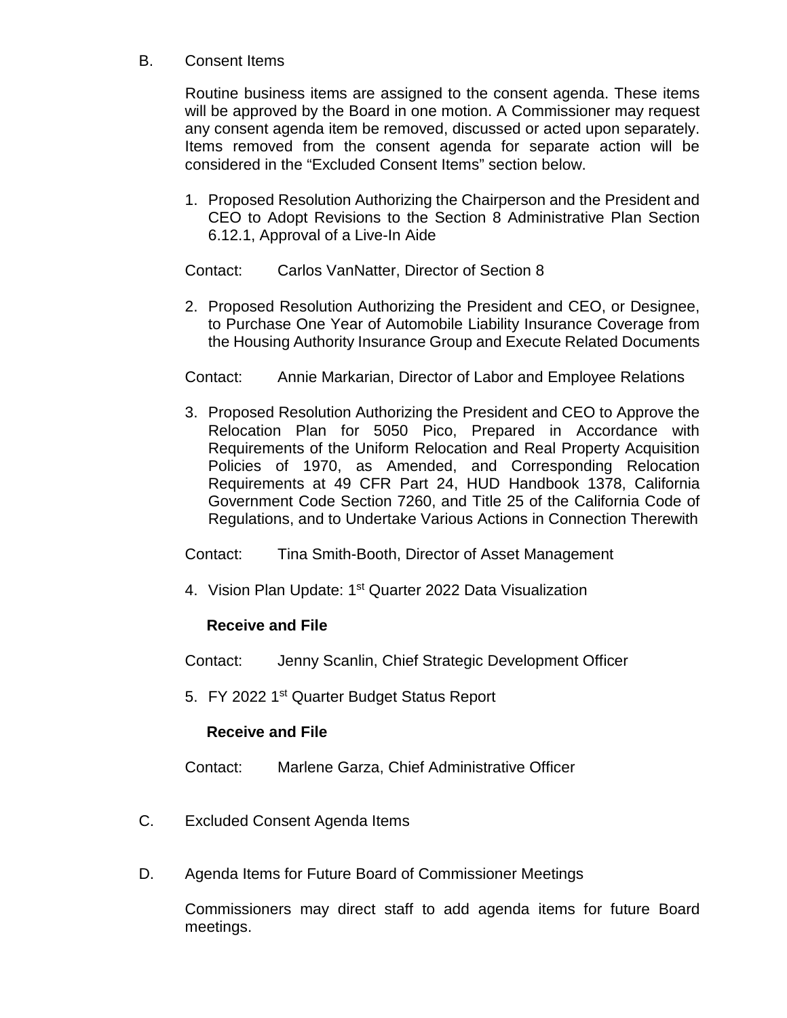### B. Consent Items

Routine business items are assigned to the consent agenda. These items will be approved by the Board in one motion. A Commissioner may request any consent agenda item be removed, discussed or acted upon separately. Items removed from the consent agenda for separate action will be considered in the "Excluded Consent Items" section below.

1. Proposed Resolution Authorizing the Chairperson and the President and CEO to Adopt Revisions to the Section 8 Administrative Plan Section 6.12.1, Approval of a Live-In Aide

Contact: Carlos VanNatter, Director of Section 8

2. Proposed Resolution Authorizing the President and CEO, or Designee, to Purchase One Year of Automobile Liability Insurance Coverage from the Housing Authority Insurance Group and Execute Related Documents

Contact: Annie Markarian, Director of Labor and Employee Relations

3. Proposed Resolution Authorizing the President and CEO to Approve the Relocation Plan for 5050 Pico, Prepared in Accordance with Requirements of the Uniform Relocation and Real Property Acquisition Policies of 1970, as Amended, and Corresponding Relocation Requirements at 49 CFR Part 24, HUD Handbook 1378, California Government Code Section 7260, and Title 25 of the California Code of Regulations, and to Undertake Various Actions in Connection Therewith

Contact: Tina Smith-Booth, Director of Asset Management

4. Vision Plan Update: 1<sup>st</sup> Quarter 2022 Data Visualization

# **Receive and File**

Contact: Jenny Scanlin, Chief Strategic Development Officer

5. FY 2022 1<sup>st</sup> Quarter Budget Status Report

## **Receive and File**

Contact: Marlene Garza, Chief Administrative Officer

- C. Excluded Consent Agenda Items
- D. Agenda Items for Future Board of Commissioner Meetings

Commissioners may direct staff to add agenda items for future Board meetings.